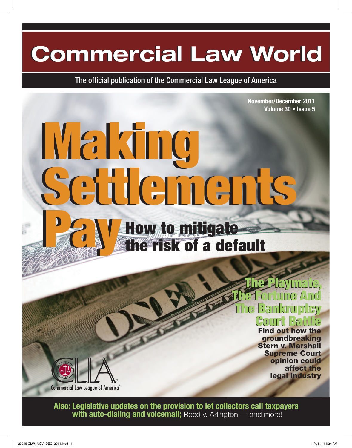### **Commercial Law World Commercial Law World**

The official publication of the Commercial Law League of America

**November/December 2011 Volume 30 • Issue 5**

# Making Making Settlements Settlements Pays of the contract of



The Playmate,<br>The T-ortune And<br>The Bankruptcy<br>Court Battle The Fortune And THE GV Court Battle

Find out how the groundbreaking Stern v. Marshall Supreme Court opinion could affect the legal industry

**Also: Legislative updates on the provision to let collectors call taxpayers with auto-dialing and voicemail;** Reed v. Arlington — and more!

**Commercial Law League of America**®